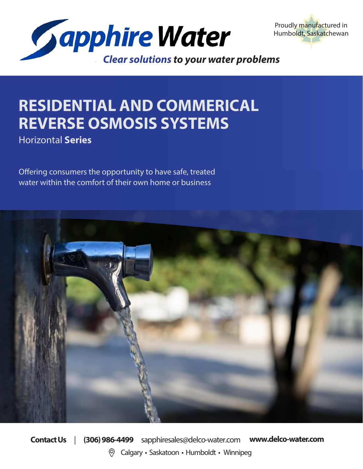



## **RESIDENTIAL AND COMMERICAL REVERSE OSMOSIS SYSTEMS**

Horizontal **Series**

Offering consumers the opportunity to have safe, treated water within the comfort of their own home or business



**Contact Us** | **(306) 986-4499** sapphiresales@delco-water.com **www.delco-water.com** Calgary • Saskatoon • Humboldt • Winnipeg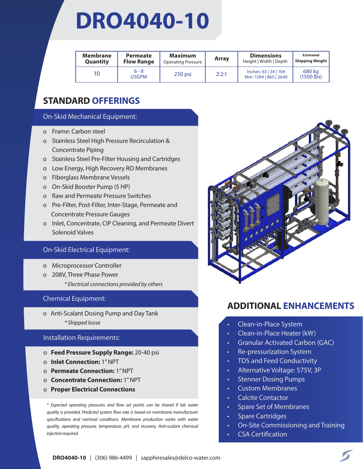## **DRO4040-10**

| Membrane<br><b>Quantity</b> | <b>Permeate</b><br><b>Flow Range</b> | <b>Maximum</b><br><b>Operating Pressure</b> | Array | <b>Dimensions</b><br>Height   Width   Depth    | <b>Estimated</b><br><b>Shipping Weight</b> |
|-----------------------------|--------------------------------------|---------------------------------------------|-------|------------------------------------------------|--------------------------------------------|
| 10                          | $6 - 8$<br><b>USGPM</b>              | $250$ psi                                   | 2:2:1 | Inches: 63   34   104<br>Mm: 1594   865   2640 | 680 kg<br>$(1500$ lbs)                     |

## **STANDARD OFFERINGS**

### On-Skid Mechanical Equipment:

- o Frame: Carbon steel
- o Stainless Steel High Pressure Recirculation & **Concentrate Piping**
- o Stainless Steel Pre-Filter Housing and Cartridges
- o Low Energy, High Recovery RO Membranes
- o Fiberglass Membrane Vessels
- o On-Skid Booster Pump (5 HP)
- o Raw and Permeate Pressure Switches
- o Pre-Filter, Post-Filter, Inter-Stage, Permeate and Concentrate Pressure Gauges
- o Inlet, Concentrate, CIP Cleaning, and Permeate Divert Solenoid Valves

### On-Skid Electrical Equipment:

- o Microprocessor Controller
- o 208V, Three Phase Power
	- *\* Electrical connections provided by others*

### Chemical Equipment:

o Anti-Scalant Dosing Pump and Day Tank *\* Shipped loose*

### Installation Requirements:

- o **Feed Pressure Supply Range:** 20-40 psi
- o **Inlet Connection:** 1" NPT
- o **Permeate Connection:** 1" NPT
- o **Concentrate Connection:** 1" NPT
- o **Proper Electrical Connections**

*\* Expected operating pressures and flow set points can be shared if lab water quality is provided. Predicted system flow rate is based on membrane manufacturer specifications and nominal conditions. Membrane production varies with water quality, operating pressure, temperature, pH, and recovery. Anti-scalant chemical injection required.* 



- Clean-in-Place System
- Clean-in-Place Heater (kW)
- Granular Activated Carbon (GAC)
- Re-pressurization System
- TDS and Feed Conductivity
- Alternative Voltage: 575V, 3P
- Stenner Dosing Pumps
- Custom Membranes
- Calcite Contactor
- Spare Set of Membranes
- Spare Cartridges
- On-Site Commissioning and Training
- CSA Certification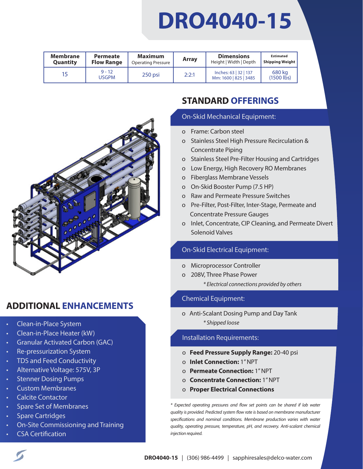# **DRO4040-15**

| Membrane        | <b>Permeate</b>   | Maximum                   | <b>Array</b> | <b>Dimensions</b>                              | <b>Estimated</b>       |
|-----------------|-------------------|---------------------------|--------------|------------------------------------------------|------------------------|
| <b>Quantity</b> | <b>Flow Range</b> | <b>Operating Pressure</b> |              | Height   Width   Depth                         | <b>Shipping Weight</b> |
| 15              | $9 - 12$<br>USGPM | $250$ psi                 | 2:2:1        | Inches: 63   32   137<br>Mm: 1600   825   3485 | 680 kg<br>$(1500$ lbs) |



## **ADDITIONAL ENHANCEMENTS**

- Clean-in-Place System
- Clean-in-Place Heater (kW)
- Granular Activated Carbon (GAC)
- Re-pressurization System
- TDS and Feed Conductivity
- Alternative Voltage: 575V, 3P
- Stenner Dosing Pumps
- Custom Membranes
- Calcite Contactor
- Spare Set of Membranes
- Spare Cartridges
- On-Site Commissioning and Training
- CSA Certification

## **STANDARD OFFERINGS**

#### On-Skid Mechanical Equipment:

- o Frame: Carbon steel
- o Stainless Steel High Pressure Recirculation & Concentrate Piping
- o Stainless Steel Pre-Filter Housing and Cartridges
- o Low Energy, High Recovery RO Membranes
- o Fiberglass Membrane Vessels
- o On-Skid Booster Pump (7.5 HP)
- o Raw and Permeate Pressure Switches
- o Pre-Filter, Post-Filter, Inter-Stage, Permeate and Concentrate Pressure Gauges
- o Inlet, Concentrate, CIP Cleaning, and Permeate Divert Solenoid Valves

## On-Skid Electrical Equipment:

- o Microprocessor Controller
- o 208V, Three Phase Power *\* Electrical connections provided by others*

### Chemical Equipment:

o Anti-Scalant Dosing Pump and Day Tank *\* Shipped loose*

### Installation Requirements:

- o **Feed Pressure Supply Range:** 20-40 psi
- o **Inlet Connection:** 1" NPT
- o **Permeate Connection:** 1" NPT
- o **Concentrate Connection:** 1" NPT
- o **Proper Electrical Connections**

*\* Expected operating pressures and flow set points can be shared if lab water quality is provided. Predicted system flow rate is based on membrane manufacturer specifications and nominal conditions. Membrane production varies with water quality, operating pressure, temperature, pH, and recovery. Anti-scalant chemical injection required.*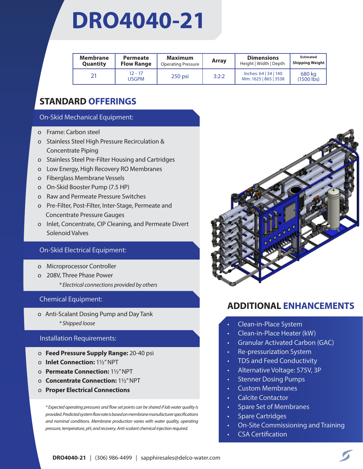## **DRO4040-21**

| Membrane<br>Quantity | Permeate<br><b>Flow Range</b> | <b>Maximum</b><br><b>Operating Pressure</b> | Array | <b>Dimensions</b><br>Height   Width   Depth    | <b>Estimated</b><br><b>Shipping Weight</b> |
|----------------------|-------------------------------|---------------------------------------------|-------|------------------------------------------------|--------------------------------------------|
|                      | $12 - 17$<br><b>USGPM</b>     | $250$ psi                                   | 3:2:2 | Inches: 64   34   140<br>Mm: 1625   865   3538 | 680 kg<br>$(1500$ lbs)                     |

## **STANDARD OFFERINGS**

### On-Skid Mechanical Equipment:

- o Frame: Carbon steel
- o Stainless Steel High Pressure Recirculation & **Concentrate Piping**
- o Stainless Steel Pre-Filter Housing and Cartridges
- o Low Energy, High Recovery RO Membranes
- o Fiberglass Membrane Vessels
- o On-Skid Booster Pump (7.5 HP)
- o Raw and Permeate Pressure Switches
- o Pre-Filter, Post-Filter, Inter-Stage, Permeate and Concentrate Pressure Gauges
- o Inlet, Concentrate, CIP Cleaning, and Permeate Divert Solenoid Valves

### On-Skid Electrical Equipment:

- o Microprocessor Controller
- o 208V, Three Phase Power
	- *\* Electrical connections provided by others*

### Chemical Equipment:

o Anti-Scalant Dosing Pump and Day Tank *\* Shipped loose*

### Installation Requirements:

- o **Feed Pressure Supply Range:** 20-40 psi
- o **Inlet Connection:** 11/2" NPT
- o **Permeate Connection:** 11/2" NPT
- o **Concentrate Connection:** 11/2" NPT
- o **Proper Electrical Connections**

*\* Expected operating pressures and flow set points can be shared if lab water quality is provided. Predicted system flow rate is based on membrane manufacturer specifications and nominal conditions. Membrane production varies with water quality, operating pressure, temperature, pH, and recovery. Anti-scalant chemical injection required.* 



- Clean-in-Place System
- Clean-in-Place Heater (kW)
- Granular Activated Carbon (GAC)
- Re-pressurization System
- TDS and Feed Conductivity
- Alternative Voltage: 575V, 3P
- Stenner Dosing Pumps
- Custom Membranes
- Calcite Contactor
- Spare Set of Membranes
- Spare Cartridges
- On-Site Commissioning and Training
- CSA Certification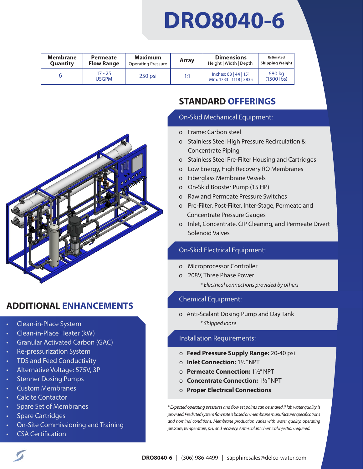## **DRO8040-6**

| <b>Membrane</b><br>Quantity | <b>Permeate</b><br><b>Flow Range</b> | <b>Maximum</b><br><b>Operating Pressure</b> | Array | <b>Dimensions</b><br>Height   Width   Depth     | <b>Estimated</b><br><b>Shipping Weight</b> |
|-----------------------------|--------------------------------------|---------------------------------------------|-------|-------------------------------------------------|--------------------------------------------|
|                             | $17 - 25$<br><b>USGPM</b>            | $250$ psi                                   | 1:1   | Inches: 68   44   151<br>Mm: 1733   1118   3835 | 680 kg<br>$(1500$ lbs)                     |



## **ADDITIONAL ENHANCEMENTS**

- Clean-in-Place System
- Clean-in-Place Heater (kW)
- Granular Activated Carbon (GAC)
- Re-pressurization System
- TDS and Feed Conductivity
- Alternative Voltage: 575V, 3P
- Stenner Dosing Pumps
- Custom Membranes
- Calcite Contactor
- Spare Set of Membranes
- Spare Cartridges
- On-Site Commissioning and Training
- CSA Certification

## **STANDARD OFFERINGS**

### On-Skid Mechanical Equipment:

- o Frame: Carbon steel
- o Stainless Steel High Pressure Recirculation & o Concentrate Piping
- o Stainless Steel Pre-Filter Housing and Cartridges
- o Low Energy, High Recovery RO Membranes
- o Fiberglass Membrane Vessels
- o On-Skid Booster Pump (15 HP)
- o Raw and Permeate Pressure Switches
- o Pre-Filter, Post-Filter, Inter-Stage, Permeate and Concentrate Pressure Gauges
- o Inlet, Concentrate, CIP Cleaning, and Permeate Divert Solenoid Valves

## On-Skid Electrical Equipment:

- o Microprocessor Controller
- o 208V, Three Phase Power
	- *\* Electrical connections provided by others*

## Chemical Equipment:

o Anti-Scalant Dosing Pump and Day Tank *\* Shipped loose*

## Installation Requirements:

- o **Feed Pressure Supply Range:** 20-40 psi
- o **Inlet Connection:** 11/2" NPT
- o **Permeate Connection:** 11/2" NPT
- o **Concentrate Connection:** 11/2" NPT
- o **Proper Electrical Connections**

*\* Expected operating pressures and flow set points can be shared if lab water quality is provided. Predicted system flow rate is based on membrane manufacturer specifications and nominal conditions. Membrane production varies with water quality, operating pressure, temperature, pH, and recovery. Anti-scalant chemical injection required.*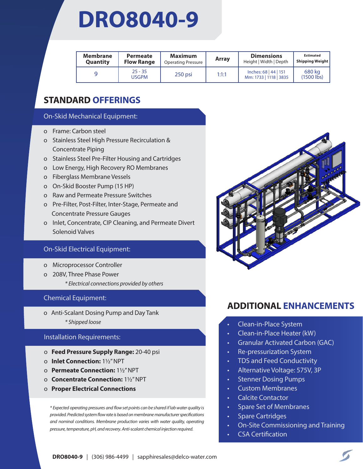## **DRO8040-9**

| <b>Membrane</b><br>Quantity | <b>Permeate</b><br><b>Flow Range</b> | <b>Maximum</b><br><b>Operating Pressure</b> | <b>Array</b> | <b>Dimensions</b><br>Height   Width   Depth     | <b>Estimated</b><br><b>Shipping Weight</b> |
|-----------------------------|--------------------------------------|---------------------------------------------|--------------|-------------------------------------------------|--------------------------------------------|
|                             | $25 - 35$<br>USGPM                   | 250 psi                                     | 1:1:1        | Inches: 68   44   151<br>Mm: 1733   1118   3835 | 680 ka<br>$(1500$ lbs)                     |

## **STANDARD OFFERINGS**

### On-Skid Mechanical Equipment:

- o Frame: Carbon steel
- o Stainless Steel High Pressure Recirculation & **Concentrate Piping**
- o Stainless Steel Pre-Filter Housing and Cartridges
- o Low Energy, High Recovery RO Membranes
- o Fiberglass Membrane Vessels
- o On-Skid Booster Pump (15 HP)
- o Raw and Permeate Pressure Switches
- o Pre-Filter, Post-Filter, Inter-Stage, Permeate and Concentrate Pressure Gauges
- o Inlet, Concentrate, CIP Cleaning, and Permeate Divert Solenoid Valves

### On-Skid Electrical Equipment:

- o Microprocessor Controller
- o 208V, Three Phase Power
	- *\* Electrical connections provided by others*

### Chemical Equipment:

o Anti-Scalant Dosing Pump and Day Tank *\* Shipped loose*

### Installation Requirements:

- o **Feed Pressure Supply Range:** 20-40 psi
- o **Inlet Connection:** 11/2" NPT
- o **Permeate Connection:** 11/2" NPT
- o **Concentrate Connection:** 11/2" NPT
- o **Proper Electrical Connections**

*\* Expected operating pressures and flow set points can be shared if lab water quality is provided. Predicted system flow rate is based on membrane manufacturer specifications and nominal conditions. Membrane production varies with water quality, operating pressure, temperature, pH, and recovery. Anti-scalant chemical injection required.* 



- Clean-in-Place System
- Clean-in-Place Heater (kW)
- Granular Activated Carbon (GAC)
- Re-pressurization System
- TDS and Feed Conductivity
- Alternative Voltage: 575V, 3P
- Stenner Dosing Pumps
- Custom Membranes
- Calcite Contactor
- Spare Set of Membranes
- Spare Cartridges
- On-Site Commissioning and Training
- CSA Certification